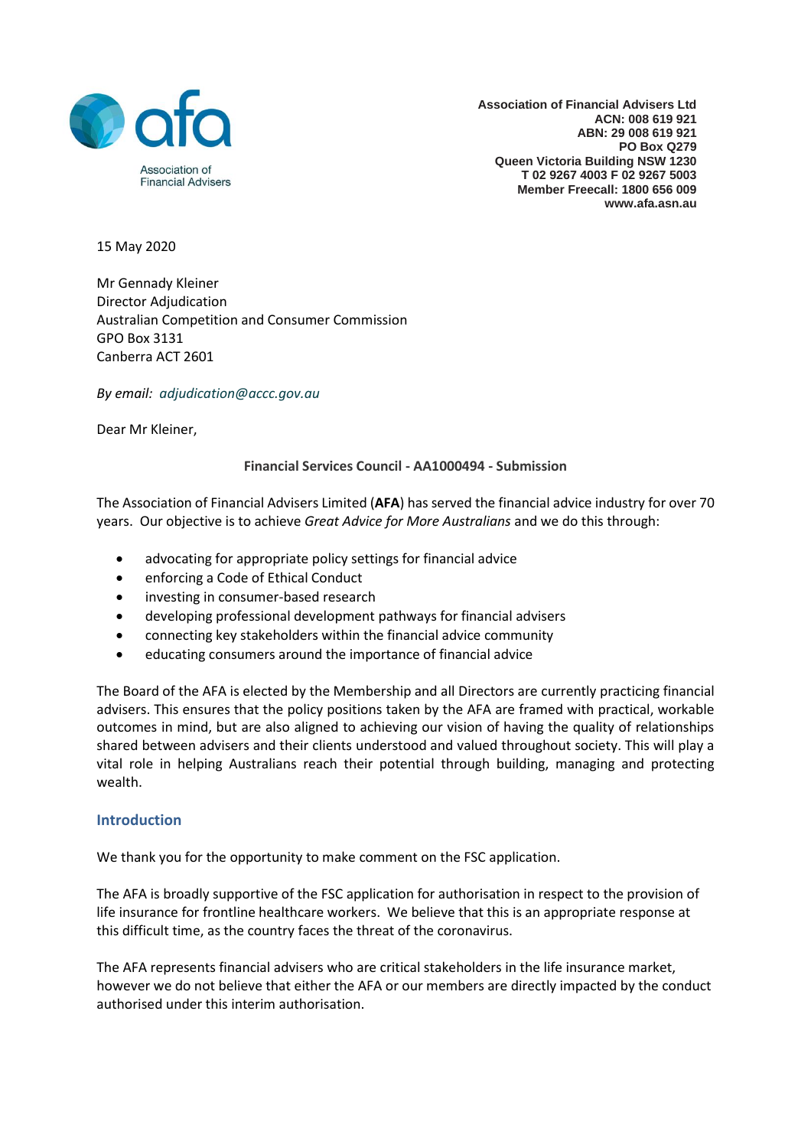

**Association of Financial Advisers Ltd ACN: 008 619 921 ABN: 29 008 619 921 PO Box Q279 Queen Victoria Building NSW 1230 T 02 9267 4003 F 02 9267 5003 Member Freecall: 1800 656 009 www.afa.asn.au**

15 May 2020

Mr Gennady Kleiner Director Adjudication Australian Competition and Consumer Commission GPO Box 3131 Canberra ACT 2601

*By email: [adjudication@accc.gov.au](mailto:adjudication@accc.gov.au)*

Dear Mr Kleiner,

#### **Financial Services Council - AA1000494 - Submission**

The Association of Financial Advisers Limited (**AFA**) has served the financial advice industry for over 70 years. Our objective is to achieve *Great Advice for More Australians* and we do this through:

- advocating for appropriate policy settings for financial advice
- enforcing a Code of Ethical Conduct
- investing in consumer-based research
- developing professional development pathways for financial advisers
- connecting key stakeholders within the financial advice community
- educating consumers around the importance of financial advice

The Board of the AFA is elected by the Membership and all Directors are currently practicing financial advisers. This ensures that the policy positions taken by the AFA are framed with practical, workable outcomes in mind, but are also aligned to achieving our vision of having the quality of relationships shared between advisers and their clients understood and valued throughout society. This will play a vital role in helping Australians reach their potential through building, managing and protecting wealth.

### **Introduction**

We thank you for the opportunity to make comment on the FSC application.

The AFA is broadly supportive of the FSC application for authorisation in respect to the provision of life insurance for frontline healthcare workers. We believe that this is an appropriate response at this difficult time, as the country faces the threat of the coronavirus.

The AFA represents financial advisers who are critical stakeholders in the life insurance market, however we do not believe that either the AFA or our members are directly impacted by the conduct authorised under this interim authorisation.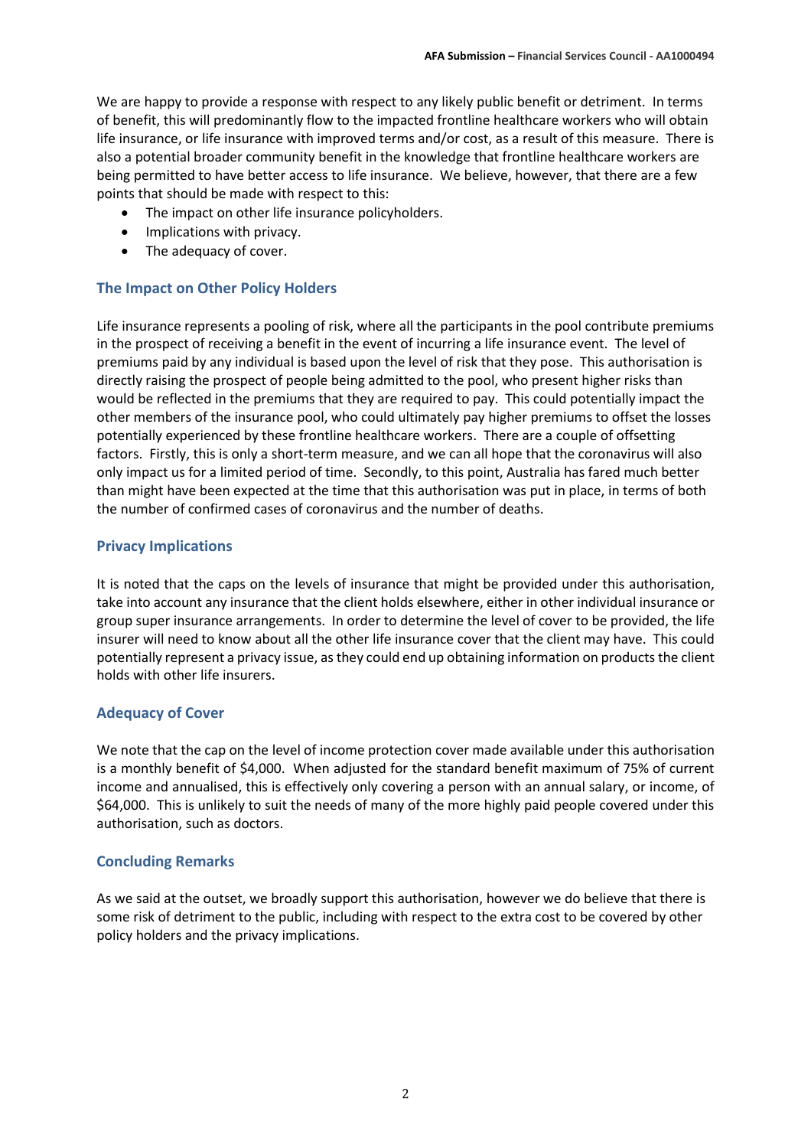We are happy to provide a response with respect to any likely public benefit or detriment. In terms of benefit, this will predominantly flow to the impacted frontline healthcare workers who will obtain life insurance, or life insurance with improved terms and/or cost, as a result of this measure. There is also a potential broader community benefit in the knowledge that frontline healthcare workers are being permitted to have better access to life insurance. We believe, however, that there are a few points that should be made with respect to this:

- The impact on other life insurance policyholders.
- Implications with privacy.
- The adequacy of cover.

### **The Impact on Other Policy Holders**

Life insurance represents a pooling of risk, where all the participants in the pool contribute premiums in the prospect of receiving a benefit in the event of incurring a life insurance event. The level of premiums paid by any individual is based upon the level of risk that they pose. This authorisation is directly raising the prospect of people being admitted to the pool, who present higher risks than would be reflected in the premiums that they are required to pay. This could potentially impact the other members of the insurance pool, who could ultimately pay higher premiums to offset the losses potentially experienced by these frontline healthcare workers. There are a couple of offsetting factors. Firstly, this is only a short-term measure, and we can all hope that the coronavirus will also only impact us for a limited period of time. Secondly, to this point, Australia has fared much better than might have been expected at the time that this authorisation was put in place, in terms of both the number of confirmed cases of coronavirus and the number of deaths.

# **Privacy Implications**

It is noted that the caps on the levels of insurance that might be provided under this authorisation, take into account any insurance that the client holds elsewhere, either in other individual insurance or group super insurance arrangements. In order to determine the level of cover to be provided, the life insurer will need to know about all the other life insurance cover that the client may have. This could potentially represent a privacy issue, as they could end up obtaining information on products the client holds with other life insurers.

# **Adequacy of Cover**

We note that the cap on the level of income protection cover made available under this authorisation is a monthly benefit of \$4,000. When adjusted for the standard benefit maximum of 75% of current income and annualised, this is effectively only covering a person with an annual salary, or income, of \$64,000. This is unlikely to suit the needs of many of the more highly paid people covered under this authorisation, such as doctors.

### **Concluding Remarks**

As we said at the outset, we broadly support this authorisation, however we do believe that there is some risk of detriment to the public, including with respect to the extra cost to be covered by other policy holders and the privacy implications.